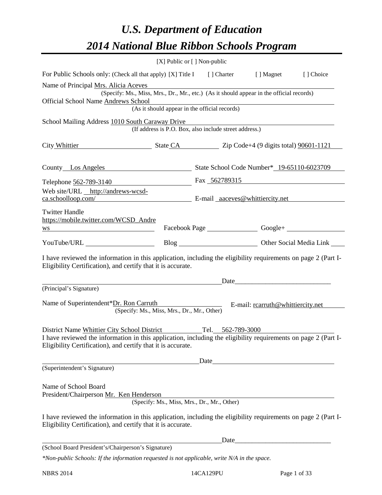# *U.S. Department of Education 2014 National Blue Ribbon Schools Program*

|                                                                                                                                                                                                                                                 | [X] Public or [] Non-public                            |  |               |                       |
|-------------------------------------------------------------------------------------------------------------------------------------------------------------------------------------------------------------------------------------------------|--------------------------------------------------------|--|---------------|-----------------------|
| For Public Schools only: (Check all that apply) [X] Title I [] Charter [] Magnet [] Choice                                                                                                                                                      |                                                        |  |               |                       |
| Name of Principal Mrs. Alicia Aceves<br>(Specify: Ms., Miss, Mrs., Dr., Mr., etc.) (As it should appear in the official records)                                                                                                                |                                                        |  |               |                       |
| Official School Name Andrews School                                                                                                                                                                                                             | (As it should appear in the official records)          |  |               |                       |
|                                                                                                                                                                                                                                                 |                                                        |  |               |                       |
| School Mailing Address 1010 South Caraway Drive                                                                                                                                                                                                 | (If address is P.O. Box, also include street address.) |  |               |                       |
| City Whittier State CA Zip Code+4 (9 digits total) 90601-1121                                                                                                                                                                                   |                                                        |  |               |                       |
| County Los Angeles State School Code Number* 19-65110-6023709                                                                                                                                                                                   |                                                        |  |               |                       |
| Telephone 562-789-3140                                                                                                                                                                                                                          |                                                        |  | Fax 562789315 |                       |
| Web site/URL http://andrews-wcsd-<br>ca.schoolloop.com/ E-mail aaceves@whittiercity.net                                                                                                                                                         |                                                        |  |               |                       |
| <b>Twitter Handle</b><br>https://mobile.twitter.com/WCSD_Andre                                                                                                                                                                                  |                                                        |  |               |                       |
| <u> 1980 - Johann Barbara, martxa alemaniar a</u><br>WS                                                                                                                                                                                         |                                                        |  |               | Facebook Page Google+ |
|                                                                                                                                                                                                                                                 |                                                        |  |               |                       |
| I have reviewed the information in this application, including the eligibility requirements on page 2 (Part I-<br>Eligibility Certification), and certify that it is accurate.                                                                  |                                                        |  |               |                       |
|                                                                                                                                                                                                                                                 |                                                        |  | Date          |                       |
| (Principal's Signature)                                                                                                                                                                                                                         |                                                        |  |               |                       |
| Name of Superintendent*Dr. Ron Carruth E-mail: rearruth@whittiercity.net                                                                                                                                                                        | (Specify: Ms., Miss, Mrs., Dr., Mr., Other)            |  |               |                       |
| District Name Whittier City School District Tel. 562-789-3000<br>I have reviewed the information in this application, including the eligibility requirements on page 2 (Part I-<br>Eligibility Certification), and certify that it is accurate. |                                                        |  |               |                       |
|                                                                                                                                                                                                                                                 |                                                        |  |               |                       |
| (Superintendent's Signature)                                                                                                                                                                                                                    |                                                        |  |               |                       |
| Name of School Board<br>President/Chairperson Mr. Ken Henderson                                                                                                                                                                                 | (Specify: Ms., Miss, Mrs., Dr., Mr., Other)            |  |               |                       |
| I have reviewed the information in this application, including the eligibility requirements on page 2 (Part I-<br>Eligibility Certification), and certify that it is accurate.                                                                  |                                                        |  |               |                       |
|                                                                                                                                                                                                                                                 |                                                        |  |               |                       |
| (School Board President's/Chairperson's Signature)                                                                                                                                                                                              |                                                        |  |               |                       |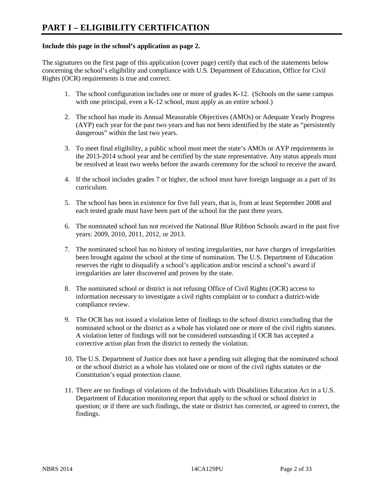### **Include this page in the school's application as page 2.**

The signatures on the first page of this application (cover page) certify that each of the statements below concerning the school's eligibility and compliance with U.S. Department of Education, Office for Civil Rights (OCR) requirements is true and correct.

- 1. The school configuration includes one or more of grades K-12. (Schools on the same campus with one principal, even a K-12 school, must apply as an entire school.)
- 2. The school has made its Annual Measurable Objectives (AMOs) or Adequate Yearly Progress (AYP) each year for the past two years and has not been identified by the state as "persistently dangerous" within the last two years.
- 3. To meet final eligibility, a public school must meet the state's AMOs or AYP requirements in the 2013-2014 school year and be certified by the state representative. Any status appeals must be resolved at least two weeks before the awards ceremony for the school to receive the award.
- 4. If the school includes grades 7 or higher, the school must have foreign language as a part of its curriculum.
- 5. The school has been in existence for five full years, that is, from at least September 2008 and each tested grade must have been part of the school for the past three years.
- 6. The nominated school has not received the National Blue Ribbon Schools award in the past five years: 2009, 2010, 2011, 2012, or 2013.
- 7. The nominated school has no history of testing irregularities, nor have charges of irregularities been brought against the school at the time of nomination. The U.S. Department of Education reserves the right to disqualify a school's application and/or rescind a school's award if irregularities are later discovered and proven by the state.
- 8. The nominated school or district is not refusing Office of Civil Rights (OCR) access to information necessary to investigate a civil rights complaint or to conduct a district-wide compliance review.
- 9. The OCR has not issued a violation letter of findings to the school district concluding that the nominated school or the district as a whole has violated one or more of the civil rights statutes. A violation letter of findings will not be considered outstanding if OCR has accepted a corrective action plan from the district to remedy the violation.
- 10. The U.S. Department of Justice does not have a pending suit alleging that the nominated school or the school district as a whole has violated one or more of the civil rights statutes or the Constitution's equal protection clause.
- 11. There are no findings of violations of the Individuals with Disabilities Education Act in a U.S. Department of Education monitoring report that apply to the school or school district in question; or if there are such findings, the state or district has corrected, or agreed to correct, the findings.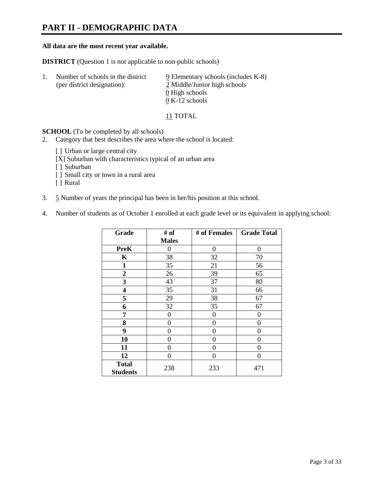# **PART II - DEMOGRAPHIC DATA**

#### **All data are the most recent year available.**

**DISTRICT** (Question 1 is not applicable to non-public schools)

| Number of schools in the district<br>(per district designation): | $9$ Elementary schools (includes K-8)<br>2 Middle/Junior high schools |
|------------------------------------------------------------------|-----------------------------------------------------------------------|
|                                                                  | 0 High schools                                                        |
|                                                                  | $0 K-12$ schools                                                      |

11 TOTAL

**SCHOOL** (To be completed by all schools)

- 2. Category that best describes the area where the school is located:
	- [ ] Urban or large central city
	- [X] Suburban with characteristics typical of an urban area
	- [ ] Suburban
	- [ ] Small city or town in a rural area
	- [ ] Rural
- 3. 5 Number of years the principal has been in her/his position at this school.
- 4. Number of students as of October 1 enrolled at each grade level or its equivalent in applying school:

| Grade                           | # of         | # of Females | <b>Grade Total</b> |
|---------------------------------|--------------|--------------|--------------------|
|                                 | <b>Males</b> |              |                    |
| <b>PreK</b>                     | 0            | $\theta$     | 0                  |
| K                               | 38           | 32           | 70                 |
| $\mathbf{1}$                    | 35           | 21           | 56                 |
| $\mathbf{2}$                    | 26           | 39           | 65                 |
| 3                               | 43           | 37           | 80                 |
| 4                               | 35           | 31           | 66                 |
| 5                               | 29           | 38           | 67                 |
| 6                               | 32           | 35           | 67                 |
| 7                               | 0            | $\theta$     | 0                  |
| 8                               | 0            | 0            | 0                  |
| 9                               | 0            | 0            | 0                  |
| 10                              | 0            | $\Omega$     | 0                  |
| 11                              | 0            | 0            | 0                  |
| 12                              | 0            | 0            | 0                  |
| <b>Total</b><br><b>Students</b> | 238          | 233          | 471                |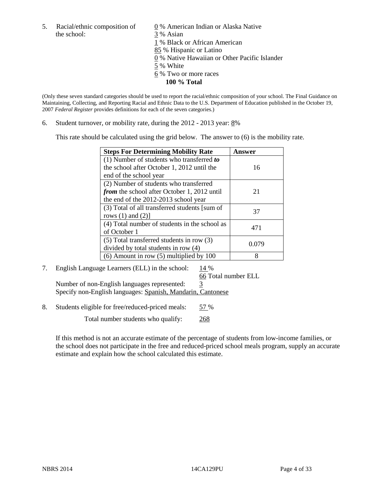the school: 3 % Asian

5. Racial/ethnic composition of  $\qquad \qquad \underline{0}$  % American Indian or Alaska Native 1 % Black or African American 85 % Hispanic or Latino 0 % Native Hawaiian or Other Pacific Islander 5 % White 6 % Two or more races **100 % Total** 

(Only these seven standard categories should be used to report the racial/ethnic composition of your school. The Final Guidance on Maintaining, Collecting, and Reporting Racial and Ethnic Data to the U.S. Department of Education published in the October 19, 2007 *Federal Register* provides definitions for each of the seven categories.)

6. Student turnover, or mobility rate, during the  $2012 - 2013$  year:  $8\%$ 

This rate should be calculated using the grid below. The answer to (6) is the mobility rate.

| <b>Steps For Determining Mobility Rate</b>         | Answer |
|----------------------------------------------------|--------|
| (1) Number of students who transferred to          |        |
| the school after October 1, 2012 until the         | 16     |
| end of the school year                             |        |
| (2) Number of students who transferred             |        |
| <i>from</i> the school after October 1, 2012 until | 21     |
| the end of the 2012-2013 school year               |        |
| (3) Total of all transferred students [sum of      | 37     |
| rows $(1)$ and $(2)$ ]                             |        |
| (4) Total number of students in the school as      | 471    |
| of October 1                                       |        |
| $(5)$ Total transferred students in row $(3)$      | 0.079  |
| divided by total students in row (4)               |        |
| $(6)$ Amount in row $(5)$ multiplied by 100        | 8      |

#### 7. English Language Learners (ELL) in the school:  $14\%$ 66 Total number ELL

Number of non-English languages represented: 3 Specify non-English languages: Spanish, Mandarin, Cantonese

8. Students eligible for free/reduced-priced meals: 57 %

Total number students who qualify: 268

If this method is not an accurate estimate of the percentage of students from low-income families, or the school does not participate in the free and reduced-priced school meals program, supply an accurate estimate and explain how the school calculated this estimate.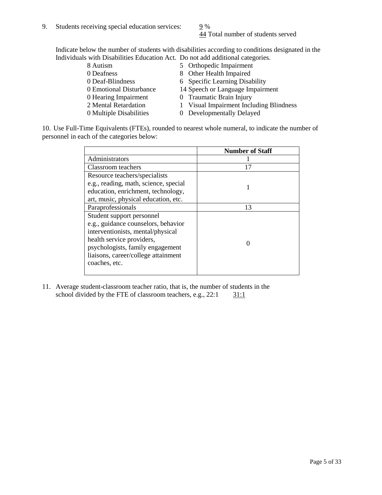44 Total number of students served

Indicate below the number of students with disabilities according to conditions designated in the Individuals with Disabilities Education Act. Do not add additional categories.

| 8 Autism                | 5 Orthopedic Impairment                 |
|-------------------------|-----------------------------------------|
| 0 Deafness              | 8 Other Health Impaired                 |
| 0 Deaf-Blindness        | 6 Specific Learning Disability          |
| 0 Emotional Disturbance | 14 Speech or Language Impairment        |
| 0 Hearing Impairment    | 0 Traumatic Brain Injury                |
| 2 Mental Retardation    | 1 Visual Impairment Including Blindness |
| 0 Multiple Disabilities | 0 Developmentally Delayed               |
|                         |                                         |

10. Use Full-Time Equivalents (FTEs), rounded to nearest whole numeral, to indicate the number of personnel in each of the categories below:

|                                       | <b>Number of Staff</b> |
|---------------------------------------|------------------------|
| Administrators                        |                        |
| Classroom teachers                    | 17                     |
| Resource teachers/specialists         |                        |
| e.g., reading, math, science, special |                        |
| education, enrichment, technology,    |                        |
| art, music, physical education, etc.  |                        |
| Paraprofessionals                     | 13                     |
| Student support personnel             |                        |
| e.g., guidance counselors, behavior   |                        |
| interventionists, mental/physical     |                        |
| health service providers,             |                        |
| psychologists, family engagement      |                        |
| liaisons, career/college attainment   |                        |
| coaches, etc.                         |                        |
|                                       |                        |

11. Average student-classroom teacher ratio, that is, the number of students in the school divided by the FTE of classroom teachers, e.g.,  $22:1$   $31:1$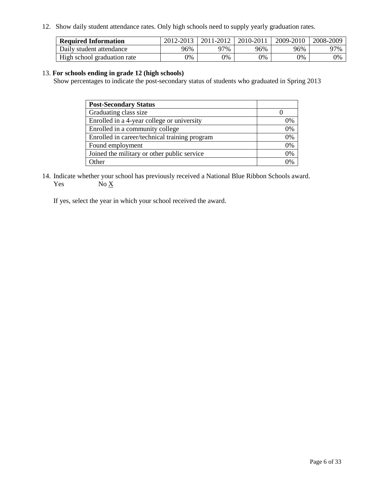12. Show daily student attendance rates. Only high schools need to supply yearly graduation rates.

| <b>Required Information</b> | 2012-2013 | 2011-2012 | 2010-2011 | 2009-2010 | 2008-2009 |
|-----------------------------|-----------|-----------|-----------|-----------|-----------|
| Daily student attendance    | 96%       | 97%       | 96%       | 96%       | 97%       |
| High school graduation rate | 0%        | 9%        | 0%        | 0%        | 0%        |

#### 13. **For schools ending in grade 12 (high schools)**

Show percentages to indicate the post-secondary status of students who graduated in Spring 2013

| <b>Post-Secondary Status</b>                  |    |
|-----------------------------------------------|----|
| Graduating class size                         |    |
| Enrolled in a 4-year college or university    | 0% |
| Enrolled in a community college               | 0% |
| Enrolled in career/technical training program | 0% |
| Found employment                              | 0% |
| Joined the military or other public service   | 0% |
| <b>Other</b>                                  | 2% |

14. Indicate whether your school has previously received a National Blue Ribbon Schools award. Yes  $No \underline{X}$ 

If yes, select the year in which your school received the award.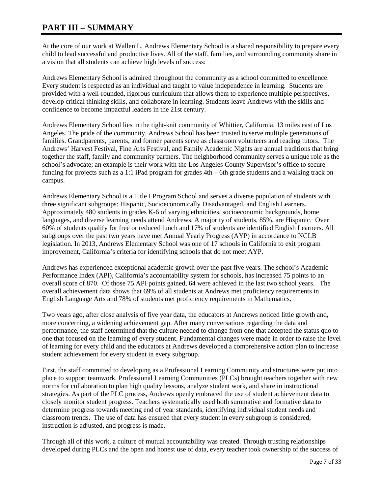# **PART III – SUMMARY**

At the core of our work at Wallen L. Andrews Elementary School is a shared responsibility to prepare every child to lead successful and productive lives. All of the staff, families, and surrounding community share in a vision that all students can achieve high levels of success:

Andrews Elementary School is admired throughout the community as a school committed to excellence. Every student is respected as an individual and taught to value independence in learning. Students are provided with a well-rounded, rigorous curriculum that allows them to experience multiple perspectives, develop critical thinking skills, and collaborate in learning. Students leave Andrews with the skills and confidence to become impactful leaders in the 21st century.

Andrews Elementary School lies in the tight-knit community of Whittier, California, 13 miles east of Los Angeles. The pride of the community, Andrews School has been trusted to serve multiple generations of families. Grandparents, parents, and former parents serve as classroom volunteers and reading tutors. The Andrews' Harvest Festival, Fine Arts Festival, and Family Academic Nights are annual traditions that bring together the staff, family and community partners. The neighborhood community serves a unique role as the school's advocate; an example is their work with the Los Angeles County Supervisor's office to secure funding for projects such as a 1:1 iPad program for grades 4th – 6th grade students and a walking track on campus.

Andrews Elementary School is a Title I Program School and serves a diverse population of students with three significant subgroups: Hispanic, Socioeconomically Disadvantaged, and English Learners. Approximately 480 students in grades K-6 of varying ethnicities, socioeconomic backgrounds, home languages, and diverse learning needs attend Andrews. A majority of students, 85%, are Hispanic. Over 60% of students qualify for free or reduced lunch and 17% of students are identified English Learners. All subgroups over the past two years have met Annual Yearly Progress (AYP) in accordance to NCLB legislation. In 2013, Andrews Elementary School was one of 17 schools in California to exit program improvement, California's criteria for identifying schools that do not meet AYP.

Andrews has experienced exceptional academic growth over the past five years. The school's Academic Performance Index (API), California's accountability system for schools, has increased 75 points to an overall score of 870. Of those 75 API points gained, 64 were achieved in the last two school years. The overall achievement data shows that 69% of all students at Andrews met proficiency requirements in English Language Arts and 78% of students met proficiency requirements in Mathematics.

Two years ago, after close analysis of five year data, the educators at Andrews noticed little growth and, more concerning, a widening achievement gap. After many conversations regarding the data and performance, the staff determined that the culture needed to change from one that accepted the status quo to one that focused on the learning of every student. Fundamental changes were made in order to raise the level of learning for every child and the educators at Andrews developed a comprehensive action plan to increase student achievement for every student in every subgroup.

First, the staff committed to developing as a Professional Learning Community and structures were put into place to support teamwork. Professional Learning Communities (PLCs) brought teachers together with new norms for collaboration to plan high quality lessons, analyze student work, and share in instructional strategies. As part of the PLC process, Andrews openly embraced the use of student achievement data to closely monitor student progress. Teachers systematically used both summative and formative data to determine progress towards meeting end of year standards, identifying individual student needs and classroom trends. The use of data has ensured that every student in every subgroup is considered, instruction is adjusted, and progress is made.

Through all of this work, a culture of mutual accountability was created. Through trusting relationships developed during PLCs and the open and honest use of data, every teacher took ownership of the success of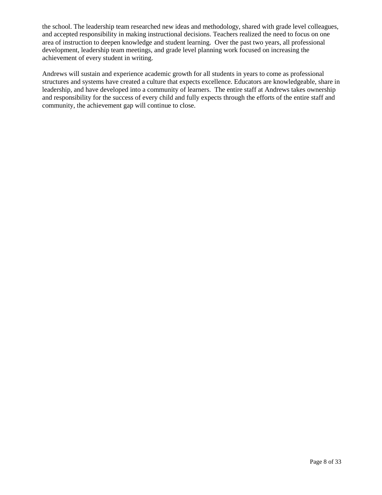the school. The leadership team researched new ideas and methodology, shared with grade level colleagues, and accepted responsibility in making instructional decisions. Teachers realized the need to focus on one area of instruction to deepen knowledge and student learning. Over the past two years, all professional development, leadership team meetings, and grade level planning work focused on increasing the achievement of every student in writing.

Andrews will sustain and experience academic growth for all students in years to come as professional structures and systems have created a culture that expects excellence. Educators are knowledgeable, share in leadership, and have developed into a community of learners. The entire staff at Andrews takes ownership and responsibility for the success of every child and fully expects through the efforts of the entire staff and community, the achievement gap will continue to close.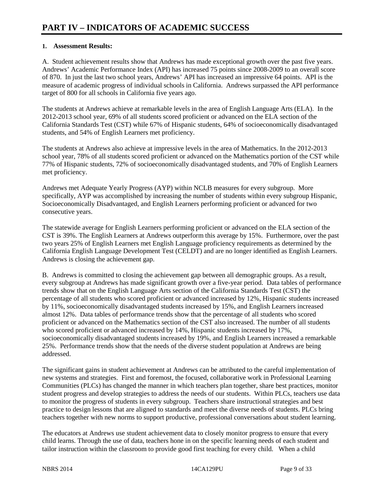### **1. Assessment Results:**

A. Student achievement results show that Andrews has made exceptional growth over the past five years. Andrews' Academic Performance Index (API) has increased 75 points since 2008-2009 to an overall score of 870. In just the last two school years, Andrews' API has increased an impressive 64 points. API is the measure of academic progress of individual schools in California. Andrews surpassed the API performance target of 800 for all schools in California five years ago.

The students at Andrews achieve at remarkable levels in the area of English Language Arts (ELA). In the 2012-2013 school year, 69% of all students scored proficient or advanced on the ELA section of the California Standards Test (CST) while 67% of Hispanic students, 64% of socioeconomically disadvantaged students, and 54% of English Learners met proficiency.

The students at Andrews also achieve at impressive levels in the area of Mathematics. In the 2012-2013 school year, 78% of all students scored proficient or advanced on the Mathematics portion of the CST while 77% of Hispanic students, 72% of socioeconomically disadvantaged students, and 70% of English Learners met proficiency.

Andrews met Adequate Yearly Progress (AYP) within NCLB measures for every subgroup. More specifically, AYP was accomplished by increasing the number of students within every subgroup Hispanic, Socioeconomically Disadvantaged, and English Learners performing proficient or advanced for two consecutive years.

The statewide average for English Learners performing proficient or advanced on the ELA section of the CST is 39%. The English Learners at Andrews outperform this average by 15%. Furthermore, over the past two years 25% of English Learners met English Language proficiency requirements as determined by the California English Language Development Test (CELDT) and are no longer identified as English Learners. Andrews is closing the achievement gap.

B. Andrews is committed to closing the achievement gap between all demographic groups. As a result, every subgroup at Andrews has made significant growth over a five-year period. Data tables of performance trends show that on the English Language Arts section of the California Standards Test (CST) the percentage of all students who scored proficient or advanced increased by 12%, Hispanic students increased by 11%, socioeconomically disadvantaged students increased by 15%, and English Learners increased almost 12%. Data tables of performance trends show that the percentage of all students who scored proficient or advanced on the Mathematics section of the CST also increased. The number of all students who scored proficient or advanced increased by 14%, Hispanic students increased by 17%, socioeconomically disadvantaged students increased by 19%, and English Learners increased a remarkable 25%. Performance trends show that the needs of the diverse student population at Andrews are being addressed.

The significant gains in student achievement at Andrews can be attributed to the careful implementation of new systems and strategies. First and foremost, the focused, collaborative work in Professional Learning Communities (PLCs) has changed the manner in which teachers plan together, share best practices, monitor student progress and develop strategies to address the needs of our students. Within PLCs, teachers use data to monitor the progress of students in every subgroup. Teachers share instructional strategies and best practice to design lessons that are aligned to standards and meet the diverse needs of students. PLCs bring teachers together with new norms to support productive, professional conversations about student learning.

The educators at Andrews use student achievement data to closely monitor progress to ensure that every child learns. Through the use of data, teachers hone in on the specific learning needs of each student and tailor instruction within the classroom to provide good first teaching for every child. When a child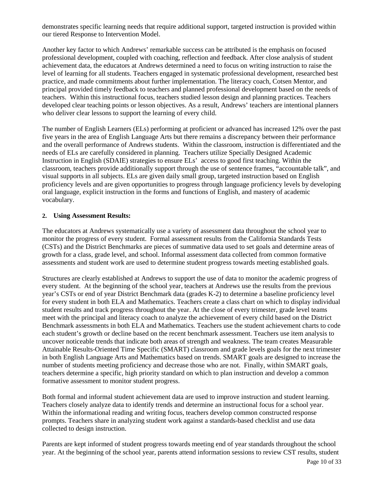demonstrates specific learning needs that require additional support, targeted instruction is provided within our tiered Response to Intervention Model.

Another key factor to which Andrews' remarkable success can be attributed is the emphasis on focused professional development, coupled with coaching, reflection and feedback. After close analysis of student achievement data, the educators at Andrews determined a need to focus on writing instruction to raise the level of learning for all students. Teachers engaged in systematic professional development, researched best practice, and made commitments about further implementation. The literacy coach, Cotsen Mentor, and principal provided timely feedback to teachers and planned professional development based on the needs of teachers. Within this instructional focus, teachers studied lesson design and planning practices. Teachers developed clear teaching points or lesson objectives. As a result, Andrews' teachers are intentional planners who deliver clear lessons to support the learning of every child.

The number of English Learners (ELs) performing at proficient or advanced has increased 12% over the past five years in the area of English Language Arts but there remains a discrepancy between their performance and the overall performance of Andrews students. Within the classroom, instruction is differentiated and the needs of ELs are carefully considered in planning. Teachers utilize Specially Designed Academic Instruction in English (SDAIE) strategies to ensure ELs' access to good first teaching. Within the classroom, teachers provide additionally support through the use of sentence frames, "accountable talk", and visual supports in all subjects. ELs are given daily small group, targeted instruction based on English proficiency levels and are given opportunities to progress through language proficiency levels by developing oral language, explicit instruction in the forms and functions of English, and mastery of academic vocabulary.

#### **2. Using Assessment Results:**

The educators at Andrews systematically use a variety of assessment data throughout the school year to monitor the progress of every student. Formal assessment results from the California Standards Tests (CSTs) and the District Benchmarks are pieces of summative data used to set goals and determine areas of growth for a class, grade level, and school. Informal assessment data collected from common formative assessments and student work are used to determine student progress towards meeting established goals.

Structures are clearly established at Andrews to support the use of data to monitor the academic progress of every student. At the beginning of the school year, teachers at Andrews use the results from the previous year's CSTs or end of year District Benchmark data (grades K-2) to determine a baseline proficiency level for every student in both ELA and Mathematics. Teachers create a class chart on which to display individual student results and track progress throughout the year. At the close of every trimester, grade level teams meet with the principal and literacy coach to analyze the achievement of every child based on the District Benchmark assessments in both ELA and Mathematics. Teachers use the student achievement charts to code each student's growth or decline based on the recent benchmark assessment. Teachers use item analysis to uncover noticeable trends that indicate both areas of strength and weakness. The team creates Measurable Attainable Results-Oriented Time Specific (SMART) classroom and grade levels goals for the next trimester in both English Language Arts and Mathematics based on trends. SMART goals are designed to increase the number of students meeting proficiency and decrease those who are not. Finally, within SMART goals, teachers determine a specific, high priority standard on which to plan instruction and develop a common formative assessment to monitor student progress.

Both formal and informal student achievement data are used to improve instruction and student learning. Teachers closely analyze data to identify trends and determine an instructional focus for a school year. Within the informational reading and writing focus, teachers develop common constructed response prompts. Teachers share in analyzing student work against a standards-based checklist and use data collected to design instruction.

Parents are kept informed of student progress towards meeting end of year standards throughout the school year. At the beginning of the school year, parents attend information sessions to review CST results, student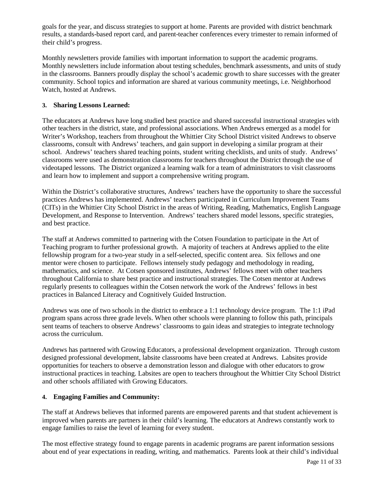goals for the year, and discuss strategies to support at home. Parents are provided with district benchmark results, a standards-based report card, and parent-teacher conferences every trimester to remain informed of their child's progress.

Monthly newsletters provide families with important information to support the academic programs. Monthly newsletters include information about testing schedules, benchmark assessments, and units of study in the classrooms. Banners proudly display the school's academic growth to share successes with the greater community. School topics and information are shared at various community meetings, i.e. Neighborhood Watch, hosted at Andrews.

### **3. Sharing Lessons Learned:**

The educators at Andrews have long studied best practice and shared successful instructional strategies with other teachers in the district, state, and professional associations. When Andrews emerged as a model for Writer's Workshop, teachers from throughout the Whittier City School District visited Andrews to observe classrooms, consult with Andrews' teachers, and gain support in developing a similar program at their school. Andrews' teachers shared teaching points, student writing checklists, and units of study. Andrews' classrooms were used as demonstration classrooms for teachers throughout the District through the use of videotaped lessons. The District organized a learning walk for a team of administrators to visit classrooms and learn how to implement and support a comprehensive writing program.

Within the District's collaborative structures, Andrews' teachers have the opportunity to share the successful practices Andrews has implemented. Andrews' teachers participated in Curriculum Improvement Teams (CITs) in the Whittier City School District in the areas of Writing, Reading, Mathematics, English Language Development, and Response to Intervention. Andrews' teachers shared model lessons, specific strategies, and best practice.

The staff at Andrews committed to partnering with the Cotsen Foundation to participate in the Art of Teaching program to further professional growth. A majority of teachers at Andrews applied to the elite fellowship program for a two-year study in a self-selected, specific content area. Six fellows and one mentor were chosen to participate. Fellows intensely study pedagogy and methodology in reading, mathematics, and science. At Cotsen sponsored institutes, Andrews' fellows meet with other teachers throughout California to share best practice and instructional strategies. The Cotsen mentor at Andrews regularly presents to colleagues within the Cotsen network the work of the Andrews' fellows in best practices in Balanced Literacy and Cognitively Guided Instruction.

Andrews was one of two schools in the district to embrace a 1:1 technology device program. The 1:1 iPad program spans across three grade levels. When other schools were planning to follow this path, principals sent teams of teachers to observe Andrews' classrooms to gain ideas and strategies to integrate technology across the curriculum.

Andrews has partnered with Growing Educators, a professional development organization. Through custom designed professional development, labsite classrooms have been created at Andrews. Labsites provide opportunities for teachers to observe a demonstration lesson and dialogue with other educators to grow instructional practices in teaching. Labsites are open to teachers throughout the Whittier City School District and other schools affiliated with Growing Educators.

#### **4. Engaging Families and Community:**

The staff at Andrews believes that informed parents are empowered parents and that student achievement is improved when parents are partners in their child's learning. The educators at Andrews constantly work to engage families to raise the level of learning for every student.

The most effective strategy found to engage parents in academic programs are parent information sessions about end of year expectations in reading, writing, and mathematics. Parents look at their child's individual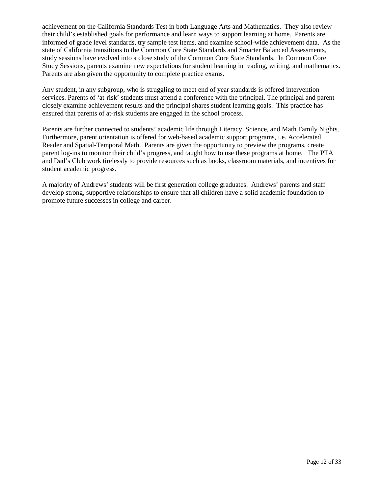achievement on the California Standards Test in both Language Arts and Mathematics. They also review their child's established goals for performance and learn ways to support learning at home. Parents are informed of grade level standards, try sample test items, and examine school-wide achievement data. As the state of California transitions to the Common Core State Standards and Smarter Balanced Assessments, study sessions have evolved into a close study of the Common Core State Standards. In Common Core Study Sessions, parents examine new expectations for student learning in reading, writing, and mathematics. Parents are also given the opportunity to complete practice exams.

Any student, in any subgroup, who is struggling to meet end of year standards is offered intervention services. Parents of 'at-risk' students must attend a conference with the principal. The principal and parent closely examine achievement results and the principal shares student learning goals. This practice has ensured that parents of at-risk students are engaged in the school process.

Parents are further connected to students' academic life through Literacy, Science, and Math Family Nights. Furthermore, parent orientation is offered for web-based academic support programs, i.e. Accelerated Reader and Spatial-Temporal Math. Parents are given the opportunity to preview the programs, create parent log-ins to monitor their child's progress, and taught how to use these programs at home. The PTA and Dad's Club work tirelessly to provide resources such as books, classroom materials, and incentives for student academic progress.

A majority of Andrews' students will be first generation college graduates. Andrews' parents and staff develop strong, supportive relationships to ensure that all children have a solid academic foundation to promote future successes in college and career.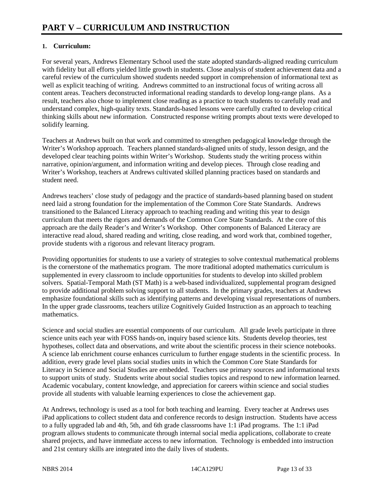### **1. Curriculum:**

For several years, Andrews Elementary School used the state adopted standards-aligned reading curriculum with fidelity but all efforts yielded little growth in students. Close analysis of student achievement data and a careful review of the curriculum showed students needed support in comprehension of informational text as well as explicit teaching of writing. Andrews committed to an instructional focus of writing across all content areas. Teachers deconstructed informational reading standards to develop long-range plans. As a result, teachers also chose to implement close reading as a practice to teach students to carefully read and understand complex, high-quality texts. Standards-based lessons were carefully crafted to develop critical thinking skills about new information. Constructed response writing prompts about texts were developed to solidify learning.

Teachers at Andrews built on that work and committed to strengthen pedagogical knowledge through the Writer's Workshop approach. Teachers planned standards-aligned units of study, lesson design, and the developed clear teaching points within Writer's Workshop. Students study the writing process within narrative, opinion/argument, and information writing and develop pieces. Through close reading and Writer's Workshop, teachers at Andrews cultivated skilled planning practices based on standards and student need.

Andrews teachers' close study of pedagogy and the practice of standards-based planning based on student need laid a strong foundation for the implementation of the Common Core State Standards. Andrews transitioned to the Balanced Literacy approach to teaching reading and writing this year to design curriculum that meets the rigors and demands of the Common Core State Standards. At the core of this approach are the daily Reader's and Writer's Workshop. Other components of Balanced Literacy are interactive read aloud, shared reading and writing, close reading, and word work that, combined together, provide students with a rigorous and relevant literacy program.

Providing opportunities for students to use a variety of strategies to solve contextual mathematical problems is the cornerstone of the mathematics program. The more traditional adopted mathematics curriculum is supplemented in every classroom to include opportunities for students to develop into skilled problem solvers. Spatial-Temporal Math (ST Math) is a web-based individualized, supplemental program designed to provide additional problem solving support to all students. In the primary grades, teachers at Andrews emphasize foundational skills such as identifying patterns and developing visual representations of numbers. In the upper grade classrooms, teachers utilize Cognitively Guided Instruction as an approach to teaching mathematics.

Science and social studies are essential components of our curriculum. All grade levels participate in three science units each year with FOSS hands-on, inquiry based science kits. Students develop theories, test hypotheses, collect data and observations, and write about the scientific process in their science notebooks. A science lab enrichment course enhances curriculum to further engage students in the scientific process. In addition, every grade level plans social studies units in which the Common Core State Standards for Literacy in Science and Social Studies are embedded. Teachers use primary sources and informational texts to support units of study. Students write about social studies topics and respond to new information learned. Academic vocabulary, content knowledge, and appreciation for careers within science and social studies provide all students with valuable learning experiences to close the achievement gap.

At Andrews, technology is used as a tool for both teaching and learning. Every teacher at Andrews uses iPad applications to collect student data and conference records to design instruction. Students have access to a fully upgraded lab and 4th, 5th, and 6th grade classrooms have 1:1 iPad programs. The 1:1 iPad program allows students to communicate through internal social media applications, collaborate to create shared projects, and have immediate access to new information. Technology is embedded into instruction and 21st century skills are integrated into the daily lives of students.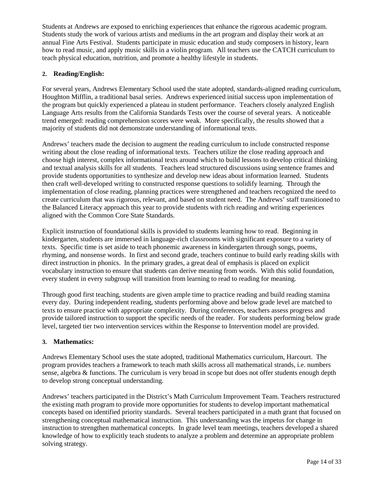Students at Andrews are exposed to enriching experiences that enhance the rigorous academic program. Students study the work of various artists and mediums in the art program and display their work at an annual Fine Arts Festival. Students participate in music education and study composers in history, learn how to read music, and apply music skills in a violin program. All teachers use the CATCH curriculum to teach physical education, nutrition, and promote a healthy lifestyle in students.

### **2. Reading/English:**

For several years, Andrews Elementary School used the state adopted, standards-aligned reading curriculum, Houghton Mifflin, a traditional basal series. Andrews experienced initial success upon implementation of the program but quickly experienced a plateau in student performance. Teachers closely analyzed English Language Arts results from the California Standards Tests over the course of several years. A noticeable trend emerged: reading comprehension scores were weak. More specifically, the results showed that a majority of students did not demonstrate understanding of informational texts.

Andrews' teachers made the decision to augment the reading curriculum to include constructed response writing about the close reading of informational texts. Teachers utilize the close reading approach and choose high interest, complex informational texts around which to build lessons to develop critical thinking and textual analysis skills for all students. Teachers lead structured discussions using sentence frames and provide students opportunities to synthesize and develop new ideas about information learned. Students then craft well-developed writing to constructed response questions to solidify learning. Through the implementation of close reading, planning practices were strengthened and teachers recognized the need to create curriculum that was rigorous, relevant, and based on student need. The Andrews' staff transitioned to the Balanced Literacy approach this year to provide students with rich reading and writing experiences aligned with the Common Core State Standards.

Explicit instruction of foundational skills is provided to students learning how to read. Beginning in kindergarten, students are immersed in language-rich classrooms with significant exposure to a variety of texts. Specific time is set aside to teach phonemic awareness in kindergarten through songs, poems, rhyming, and nonsense words. In first and second grade, teachers continue to build early reading skills with direct instruction in phonics. In the primary grades, a great deal of emphasis is placed on explicit vocabulary instruction to ensure that students can derive meaning from words. With this solid foundation, every student in every subgroup will transition from learning to read to reading for meaning.

Through good first teaching, students are given ample time to practice reading and build reading stamina every day. During independent reading, students performing above and below grade level are matched to texts to ensure practice with appropriate complexity. During conferences, teachers assess progress and provide tailored instruction to support the specific needs of the reader. For students performing below grade level, targeted tier two intervention services within the Response to Intervention model are provided.

### **3. Mathematics:**

Andrews Elementary School uses the state adopted, traditional Mathematics curriculum, Harcourt. The program provides teachers a framework to teach math skills across all mathematical strands, i.e. numbers sense, algebra & functions. The curriculum is very broad in scope but does not offer students enough depth to develop strong conceptual understanding.

Andrews' teachers participated in the District's Math Curriculum Improvement Team. Teachers restructured the existing math program to provide more opportunities for students to develop important mathematical concepts based on identified priority standards. Several teachers participated in a math grant that focused on strengthening conceptual mathematical instruction. This understanding was the impetus for change in instruction to strengthen mathematical concepts. In grade level team meetings, teachers developed a shared knowledge of how to explicitly teach students to analyze a problem and determine an appropriate problem solving strategy.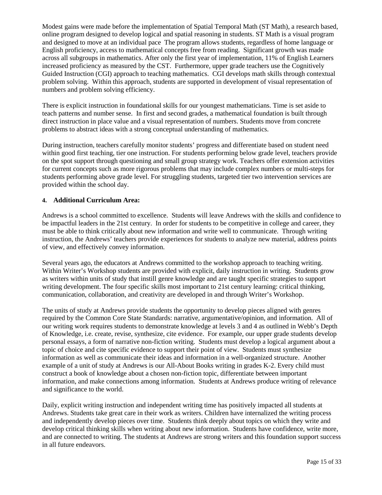Modest gains were made before the implementation of Spatial Temporal Math (ST Math), a research based, online program designed to develop logical and spatial reasoning in students. ST Math is a visual program and designed to move at an individual pace The program allows students, regardless of home language or English proficiency, access to mathematical concepts free from reading. Significant growth was made across all subgroups in mathematics. After only the first year of implementation, 11% of English Learners increased proficiency as measured by the CST. Furthermore, upper grade teachers use the Cognitively Guided Instruction (CGI) approach to teaching mathematics. CGI develops math skills through contextual problem solving. Within this approach, students are supported in development of visual representation of numbers and problem solving efficiency.

There is explicit instruction in foundational skills for our youngest mathematicians. Time is set aside to teach patterns and number sense. In first and second grades, a mathematical foundation is built through direct instruction in place value and a visual representation of numbers. Students move from concrete problems to abstract ideas with a strong conceptual understanding of mathematics.

During instruction, teachers carefully monitor students' progress and differentiate based on student need within good first teaching, tier one instruction. For students performing below grade level, teachers provide on the spot support through questioning and small group strategy work. Teachers offer extension activities for current concepts such as more rigorous problems that may include complex numbers or multi-steps for students performing above grade level. For struggling students, targeted tier two intervention services are provided within the school day.

#### **4. Additional Curriculum Area:**

Andrews is a school committed to excellence. Students will leave Andrews with the skills and confidence to be impactful leaders in the 21st century. In order for students to be competitive in college and career, they must be able to think critically about new information and write well to communicate. Through writing instruction, the Andrews' teachers provide experiences for students to analyze new material, address points of view, and effectively convey information.

Several years ago, the educators at Andrews committed to the workshop approach to teaching writing. Within Writer's Workshop students are provided with explicit, daily instruction in writing. Students grow as writers within units of study that instill genre knowledge and are taught specific strategies to support writing development. The four specific skills most important to 21st century learning: critical thinking, communication, collaboration, and creativity are developed in and through Writer's Workshop.

The units of study at Andrews provide students the opportunity to develop pieces aligned with genres required by the Common Core State Standards: narrative, argumentative/opinion, and information. All of our writing work requires students to demonstrate knowledge at levels 3 and 4 as outlined in Webb's Depth of Knowledge, i.e. create, revise, synthesize, cite evidence. For example, our upper grade students develop personal essays, a form of narrative non-fiction writing. Students must develop a logical argument about a topic of choice and cite specific evidence to support their point of view. Students must synthesize information as well as communicate their ideas and information in a well-organized structure. Another example of a unit of study at Andrews is our All-About Books writing in grades K-2. Every child must construct a book of knowledge about a chosen non-fiction topic, differentiate between important information, and make connections among information. Students at Andrews produce writing of relevance and significance to the world.

Daily, explicit writing instruction and independent writing time has positively impacted all students at Andrews. Students take great care in their work as writers. Children have internalized the writing process and independently develop pieces over time. Students think deeply about topics on which they write and develop critical thinking skills when writing about new information. Students have confidence, write more, and are connected to writing. The students at Andrews are strong writers and this foundation support success in all future endeavors.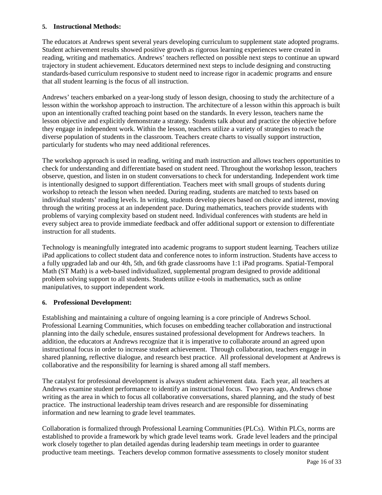#### **5. Instructional Methods:**

The educators at Andrews spent several years developing curriculum to supplement state adopted programs. Student achievement results showed positive growth as rigorous learning experiences were created in reading, writing and mathematics. Andrews' teachers reflected on possible next steps to continue an upward trajectory in student achievement. Educators determined next steps to include designing and constructing standards-based curriculum responsive to student need to increase rigor in academic programs and ensure that all student learning is the focus of all instruction.

Andrews' teachers embarked on a year-long study of lesson design, choosing to study the architecture of a lesson within the workshop approach to instruction. The architecture of a lesson within this approach is built upon an intentionally crafted teaching point based on the standards. In every lesson, teachers name the lesson objective and explicitly demonstrate a strategy. Students talk about and practice the objective before they engage in independent work. Within the lesson, teachers utilize a variety of strategies to reach the diverse population of students in the classroom. Teachers create charts to visually support instruction, particularly for students who may need additional references.

The workshop approach is used in reading, writing and math instruction and allows teachers opportunities to check for understanding and differentiate based on student need. Throughout the workshop lesson, teachers observe, question, and listen in on student conversations to check for understanding. Independent work time is intentionally designed to support differentiation. Teachers meet with small groups of students during workshop to reteach the lesson when needed. During reading, students are matched to texts based on individual students' reading levels. In writing, students develop pieces based on choice and interest, moving through the writing process at an independent pace. During mathematics, teachers provide students with problems of varying complexity based on student need. Individual conferences with students are held in every subject area to provide immediate feedback and offer additional support or extension to differentiate instruction for all students.

Technology is meaningfully integrated into academic programs to support student learning. Teachers utilize iPad applications to collect student data and conference notes to inform instruction. Students have access to a fully upgraded lab and our 4th, 5th, and 6th grade classrooms have 1:1 iPad programs. Spatial-Temporal Math (ST Math) is a web-based individualized, supplemental program designed to provide additional problem solving support to all students. Students utilize e-tools in mathematics, such as online manipulatives, to support independent work.

#### **6. Professional Development:**

Establishing and maintaining a culture of ongoing learning is a core principle of Andrews School. Professional Learning Communities, which focuses on embedding teacher collaboration and instructional planning into the daily schedule, ensures sustained professional development for Andrews teachers. In addition, the educators at Andrews recognize that it is imperative to collaborate around an agreed upon instructional focus in order to increase student achievement. Through collaboration, teachers engage in shared planning, reflective dialogue, and research best practice. All professional development at Andrews is collaborative and the responsibility for learning is shared among all staff members.

The catalyst for professional development is always student achievement data. Each year, all teachers at Andrews examine student performance to identify an instructional focus. Two years ago, Andrews chose writing as the area in which to focus all collaborative conversations, shared planning, and the study of best practice. The instructional leadership team drives research and are responsible for disseminating information and new learning to grade level teammates.

Collaboration is formalized through Professional Learning Communities (PLCs). Within PLCs, norms are established to provide a framework by which grade level teams work. Grade level leaders and the principal work closely together to plan detailed agendas during leadership team meetings in order to guarantee productive team meetings. Teachers develop common formative assessments to closely monitor student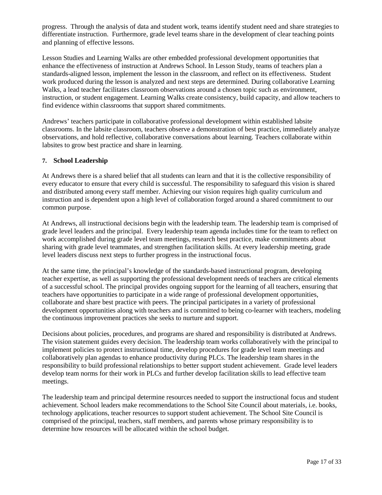progress. Through the analysis of data and student work, teams identify student need and share strategies to differentiate instruction. Furthermore, grade level teams share in the development of clear teaching points and planning of effective lessons.

Lesson Studies and Learning Walks are other embedded professional development opportunities that enhance the effectiveness of instruction at Andrews School. In Lesson Study, teams of teachers plan a standards-aligned lesson, implement the lesson in the classroom, and reflect on its effectiveness. Student work produced during the lesson is analyzed and next steps are determined. During collaborative Learning Walks, a lead teacher facilitates classroom observations around a chosen topic such as environment, instruction, or student engagement. Learning Walks create consistency, build capacity, and allow teachers to find evidence within classrooms that support shared commitments.

Andrews' teachers participate in collaborative professional development within established labsite classrooms. In the labsite classroom, teachers observe a demonstration of best practice, immediately analyze observations, and hold reflective, collaborative conversations about learning. Teachers collaborate within labsites to grow best practice and share in learning.

#### **7. School Leadership**

At Andrews there is a shared belief that all students can learn and that it is the collective responsibility of every educator to ensure that every child is successful. The responsibility to safeguard this vision is shared and distributed among every staff member. Achieving our vision requires high quality curriculum and instruction and is dependent upon a high level of collaboration forged around a shared commitment to our common purpose.

At Andrews, all instructional decisions begin with the leadership team. The leadership team is comprised of grade level leaders and the principal. Every leadership team agenda includes time for the team to reflect on work accomplished during grade level team meetings, research best practice, make commitments about sharing with grade level teammates, and strengthen facilitation skills. At every leadership meeting, grade level leaders discuss next steps to further progress in the instructional focus.

At the same time, the principal's knowledge of the standards-based instructional program, developing teacher expertise, as well as supporting the professional development needs of teachers are critical elements of a successful school. The principal provides ongoing support for the learning of all teachers, ensuring that teachers have opportunities to participate in a wide range of professional development opportunities, collaborate and share best practice with peers. The principal participates in a variety of professional development opportunities along with teachers and is committed to being co-learner with teachers, modeling the continuous improvement practices she seeks to nurture and support.

Decisions about policies, procedures, and programs are shared and responsibility is distributed at Andrews. The vision statement guides every decision. The leadership team works collaboratively with the principal to implement policies to protect instructional time, develop procedures for grade level team meetings and collaboratively plan agendas to enhance productivity during PLCs. The leadership team shares in the responsibility to build professional relationships to better support student achievement. Grade level leaders develop team norms for their work in PLCs and further develop facilitation skills to lead effective team meetings.

The leadership team and principal determine resources needed to support the instructional focus and student achievement. School leaders make recommendations to the School Site Council about materials, i.e. books, technology applications, teacher resources to support student achievement. The School Site Council is comprised of the principal, teachers, staff members, and parents whose primary responsibility is to determine how resources will be allocated within the school budget.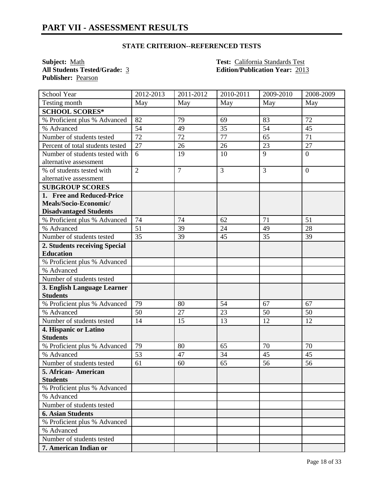**Subject:** <u>Math **Test:** California Standards Test</u><br> **All Students Tested/Grade:** 3 **Test:** California Standards Test<br> **Edition/Publication Year:** 201 **Publisher:** Pearson

**All Students Tested/Grade:** 3 **Edition/Publication Year:** 2013

| School Year                      | 2012-2013      | 2011-2012      | 2010-2011 | 2009-2010 | 2008-2009      |
|----------------------------------|----------------|----------------|-----------|-----------|----------------|
| Testing month                    | May            | May            | May       | May       | May            |
| <b>SCHOOL SCORES*</b>            |                |                |           |           |                |
| % Proficient plus % Advanced     | 82             | 79             | 69        | 83        | 72             |
| % Advanced                       | 54             | 49             | 35        | 54        | 45             |
| Number of students tested        | 72             | 72             | 77        | 65        | 71             |
| Percent of total students tested | 27             | 26             | 26        | 23        | 27             |
| Number of students tested with   | 6              | 19             | 10        | 9         | $\overline{0}$ |
| alternative assessment           |                |                |           |           |                |
| % of students tested with        | $\overline{2}$ | $\overline{7}$ | 3         | 3         | $\overline{0}$ |
| alternative assessment           |                |                |           |           |                |
| <b>SUBGROUP SCORES</b>           |                |                |           |           |                |
| 1. Free and Reduced-Price        |                |                |           |           |                |
| Meals/Socio-Economic/            |                |                |           |           |                |
| <b>Disadvantaged Students</b>    |                |                |           |           |                |
| % Proficient plus % Advanced     | 74             | 74             | 62        | 71        | 51             |
| % Advanced                       | 51             | 39             | 24        | 49        | 28             |
| Number of students tested        | 35             | 39             | 45        | 35        | 39             |
| 2. Students receiving Special    |                |                |           |           |                |
| <b>Education</b>                 |                |                |           |           |                |
| % Proficient plus % Advanced     |                |                |           |           |                |
| % Advanced                       |                |                |           |           |                |
| Number of students tested        |                |                |           |           |                |
| 3. English Language Learner      |                |                |           |           |                |
| <b>Students</b>                  |                |                |           |           |                |
| % Proficient plus % Advanced     | 79             | 80             | 54        | 67        | 67             |
| % Advanced                       | 50             | 27             | 23        | 50        | 50             |
| Number of students tested        | 14             | 15             | 13        | 12        | 12             |
| 4. Hispanic or Latino            |                |                |           |           |                |
| <b>Students</b>                  |                |                |           |           |                |
| % Proficient plus % Advanced     | 79             | 80             | 65        | 70        | 70             |
| % Advanced                       | 53             | 47             | 34        | 45        | 45             |
| Number of students tested        | 61             | 60             | 65        | 56        | 56             |
| 5. African- American             |                |                |           |           |                |
| <b>Students</b>                  |                |                |           |           |                |
| % Proficient plus % Advanced     |                |                |           |           |                |
| % Advanced                       |                |                |           |           |                |
| Number of students tested        |                |                |           |           |                |
| <b>6. Asian Students</b>         |                |                |           |           |                |
| % Proficient plus % Advanced     |                |                |           |           |                |
| % Advanced                       |                |                |           |           |                |
| Number of students tested        |                |                |           |           |                |
| 7. American Indian or            |                |                |           |           |                |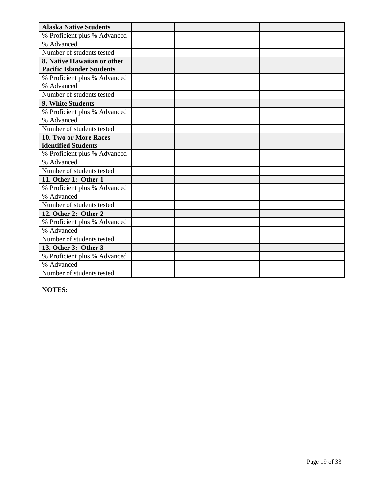| <b>Alaska Native Students</b>    |  |  |  |
|----------------------------------|--|--|--|
| % Proficient plus % Advanced     |  |  |  |
| % Advanced                       |  |  |  |
| Number of students tested        |  |  |  |
| 8. Native Hawaiian or other      |  |  |  |
| <b>Pacific Islander Students</b> |  |  |  |
| % Proficient plus % Advanced     |  |  |  |
| % Advanced                       |  |  |  |
| Number of students tested        |  |  |  |
| 9. White Students                |  |  |  |
| % Proficient plus % Advanced     |  |  |  |
| % Advanced                       |  |  |  |
| Number of students tested        |  |  |  |
| 10. Two or More Races            |  |  |  |
| identified Students              |  |  |  |
| % Proficient plus % Advanced     |  |  |  |
| % Advanced                       |  |  |  |
| Number of students tested        |  |  |  |
| 11. Other 1: Other 1             |  |  |  |
| % Proficient plus % Advanced     |  |  |  |
| % Advanced                       |  |  |  |
| Number of students tested        |  |  |  |
| 12. Other 2: Other 2             |  |  |  |
| % Proficient plus % Advanced     |  |  |  |
| % Advanced                       |  |  |  |
| Number of students tested        |  |  |  |
| 13. Other 3: Other 3             |  |  |  |
| % Proficient plus % Advanced     |  |  |  |
| % Advanced                       |  |  |  |
| Number of students tested        |  |  |  |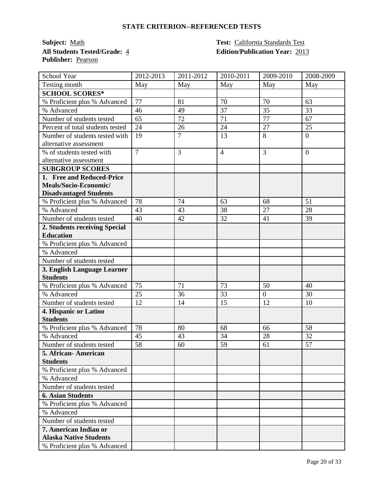**Subject:** Math **Test:** California Standards Test **All Students Tested/Grade:** 4 **Edition/Publication Year:** 2013 **Publisher:** Pearson

| School Year                      | 2012-2013      | 2011-2012      | 2010-2011      | 2009-2010      | 2008-2009      |
|----------------------------------|----------------|----------------|----------------|----------------|----------------|
| Testing month                    | May            | May            | May            | May            | May            |
| <b>SCHOOL SCORES*</b>            |                |                |                |                |                |
| % Proficient plus % Advanced     | 77             | 81             | 70             | 70             | 63             |
| % Advanced                       | 46             | 49             | 37             | 35             | 33             |
| Number of students tested        | 65             | 72             | 71             | 77             | 67             |
| Percent of total students tested | 24             | 26             | 24             | 27             | 25             |
| Number of students tested with   | 19             | $\overline{7}$ | 13             | 8              | $\overline{0}$ |
| alternative assessment           |                |                |                |                |                |
| % of students tested with        | $\overline{7}$ | 3              | $\overline{4}$ | 3              | $\overline{0}$ |
| alternative assessment           |                |                |                |                |                |
| <b>SUBGROUP SCORES</b>           |                |                |                |                |                |
| 1. Free and Reduced-Price        |                |                |                |                |                |
| Meals/Socio-Economic/            |                |                |                |                |                |
| <b>Disadvantaged Students</b>    |                |                |                |                |                |
| % Proficient plus % Advanced     | 78             | 74             | 63             | 68             | 51             |
| % Advanced                       | 43             | 43             | 38             | 27             | 28             |
| Number of students tested        | 40             | 42             | 32             | 41             | 39             |
| 2. Students receiving Special    |                |                |                |                |                |
| <b>Education</b>                 |                |                |                |                |                |
| % Proficient plus % Advanced     |                |                |                |                |                |
| % Advanced                       |                |                |                |                |                |
| Number of students tested        |                |                |                |                |                |
| 3. English Language Learner      |                |                |                |                |                |
| <b>Students</b>                  |                |                |                |                |                |
| % Proficient plus % Advanced     | 75             | 71             | 73             | 50             | 40             |
| % Advanced                       | 25             | 36             | 33             | $\overline{0}$ | 30             |
| Number of students tested        | 12             | 14             | 15             | 12             | 10             |
| 4. Hispanic or Latino            |                |                |                |                |                |
| <b>Students</b>                  |                |                |                |                |                |
| % Proficient plus % Advanced     | 78             | 80             | 68             | 66             | 58             |
| % Advanced                       | 45             | 43             | 34             | 28             | 32             |
| Number of students tested        | 58             | 60             | 59             | 61             | 57             |
| 5. African- American             |                |                |                |                |                |
| <b>Students</b>                  |                |                |                |                |                |
| % Proficient plus % Advanced     |                |                |                |                |                |
| % Advanced                       |                |                |                |                |                |
| Number of students tested        |                |                |                |                |                |
| <b>6. Asian Students</b>         |                |                |                |                |                |
| % Proficient plus % Advanced     |                |                |                |                |                |
| % Advanced                       |                |                |                |                |                |
| Number of students tested        |                |                |                |                |                |
| 7. American Indian or            |                |                |                |                |                |
| <b>Alaska Native Students</b>    |                |                |                |                |                |
| % Proficient plus % Advanced     |                |                |                |                |                |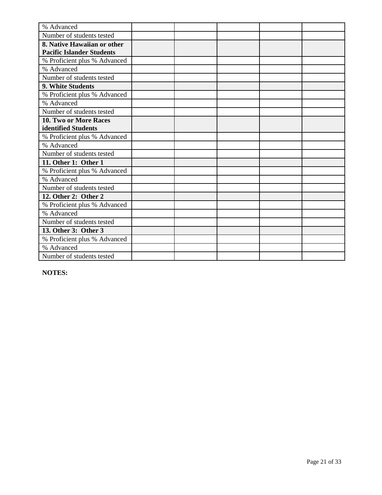| % Advanced                       |  |  |  |
|----------------------------------|--|--|--|
| Number of students tested        |  |  |  |
| 8. Native Hawaiian or other      |  |  |  |
| <b>Pacific Islander Students</b> |  |  |  |
| % Proficient plus % Advanced     |  |  |  |
| % Advanced                       |  |  |  |
| Number of students tested        |  |  |  |
| 9. White Students                |  |  |  |
| % Proficient plus % Advanced     |  |  |  |
| % Advanced                       |  |  |  |
| Number of students tested        |  |  |  |
| 10. Two or More Races            |  |  |  |
| identified Students              |  |  |  |
| % Proficient plus % Advanced     |  |  |  |
| % Advanced                       |  |  |  |
| Number of students tested        |  |  |  |
| 11. Other 1: Other 1             |  |  |  |
| % Proficient plus % Advanced     |  |  |  |
| % Advanced                       |  |  |  |
| Number of students tested        |  |  |  |
| 12. Other 2: Other 2             |  |  |  |
| % Proficient plus % Advanced     |  |  |  |
| % Advanced                       |  |  |  |
| Number of students tested        |  |  |  |
| 13. Other 3: Other 3             |  |  |  |
| % Proficient plus % Advanced     |  |  |  |
| % Advanced                       |  |  |  |
| Number of students tested        |  |  |  |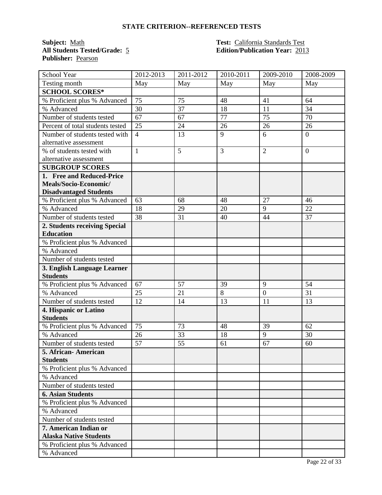**Subject:** <u>Math **Test:** California Standards Test</u><br> **All Students Tested/Grade:** 5 **Test: California Standards Test**<br> **Edition/Publication Year:** 201 **Publisher:** Pearson

# **All Students Tested/Grade:** 5 **Edition/Publication Year:** 2013

| School Year                      | 2012-2013      | 2011-2012 | 2010-2011 | 2009-2010      | 2008-2009      |
|----------------------------------|----------------|-----------|-----------|----------------|----------------|
| Testing month                    | May            | May       | May       | May            | May            |
| <b>SCHOOL SCORES*</b>            |                |           |           |                |                |
| % Proficient plus % Advanced     | 75             | 75        | 48        | 41             | 64             |
| % Advanced                       | 30             | 37        | 18        | 11             | 34             |
| Number of students tested        | 67             | 67        | 77        | 75             | 70             |
| Percent of total students tested | 25             | 24        | 26        | 26             | 26             |
| Number of students tested with   | $\overline{4}$ | 13        | 9         | 6              | $\overline{0}$ |
| alternative assessment           |                |           |           |                |                |
| % of students tested with        | $\mathbf{1}$   | 5         | 3         | $\overline{2}$ | $\overline{0}$ |
| alternative assessment           |                |           |           |                |                |
| <b>SUBGROUP SCORES</b>           |                |           |           |                |                |
| 1. Free and Reduced-Price        |                |           |           |                |                |
| Meals/Socio-Economic/            |                |           |           |                |                |
| <b>Disadvantaged Students</b>    |                |           |           |                |                |
| % Proficient plus % Advanced     | 63             | 68        | 48        | 27             | 46             |
| % Advanced                       | 18             | 29        | 20        | 9              | 22             |
| Number of students tested        | 38             | 31        | 40        | 44             | 37             |
| 2. Students receiving Special    |                |           |           |                |                |
| <b>Education</b>                 |                |           |           |                |                |
| % Proficient plus % Advanced     |                |           |           |                |                |
| % Advanced                       |                |           |           |                |                |
| Number of students tested        |                |           |           |                |                |
| 3. English Language Learner      |                |           |           |                |                |
| <b>Students</b>                  |                |           |           |                |                |
| % Proficient plus % Advanced     | 67             | 57        | 39        | 9              | 54             |
| % Advanced                       | 25             | 21        | 8         | $\overline{0}$ | 31             |
| Number of students tested        | 12             | 14        | 13        | 11             | 13             |
| 4. Hispanic or Latino            |                |           |           |                |                |
| <b>Students</b>                  |                |           |           |                |                |
| % Proficient plus % Advanced     | 75             | 73        | 48        | 39             | 62             |
| % Advanced                       | 26             | 33        | 18        | 9              | 30             |
| Number of students tested        | 57             | 55        | 61        | 67             | 60             |
| 5. African- American             |                |           |           |                |                |
| <b>Students</b>                  |                |           |           |                |                |
| % Proficient plus % Advanced     |                |           |           |                |                |
| % Advanced                       |                |           |           |                |                |
| Number of students tested        |                |           |           |                |                |
| <b>6. Asian Students</b>         |                |           |           |                |                |
| % Proficient plus % Advanced     |                |           |           |                |                |
| % Advanced                       |                |           |           |                |                |
| Number of students tested        |                |           |           |                |                |
| 7. American Indian or            |                |           |           |                |                |
| <b>Alaska Native Students</b>    |                |           |           |                |                |
| % Proficient plus % Advanced     |                |           |           |                |                |
| % Advanced                       |                |           |           |                |                |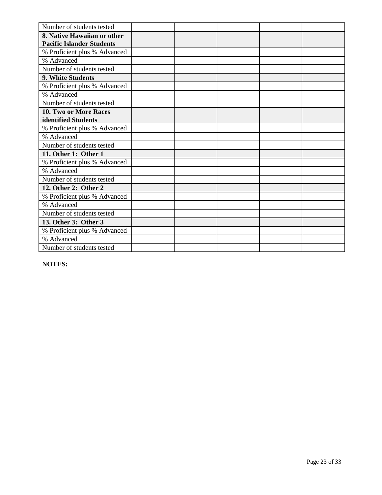| Number of students tested        |  |  |  |
|----------------------------------|--|--|--|
| 8. Native Hawaiian or other      |  |  |  |
| <b>Pacific Islander Students</b> |  |  |  |
| % Proficient plus % Advanced     |  |  |  |
| % Advanced                       |  |  |  |
| Number of students tested        |  |  |  |
| 9. White Students                |  |  |  |
| % Proficient plus % Advanced     |  |  |  |
| % Advanced                       |  |  |  |
| Number of students tested        |  |  |  |
| 10. Two or More Races            |  |  |  |
| identified Students              |  |  |  |
| % Proficient plus % Advanced     |  |  |  |
| % Advanced                       |  |  |  |
| Number of students tested        |  |  |  |
| 11. Other 1: Other 1             |  |  |  |
| % Proficient plus % Advanced     |  |  |  |
| % Advanced                       |  |  |  |
| Number of students tested        |  |  |  |
| 12. Other 2: Other 2             |  |  |  |
| % Proficient plus % Advanced     |  |  |  |
| % Advanced                       |  |  |  |
| Number of students tested        |  |  |  |
| 13. Other 3: Other 3             |  |  |  |
| % Proficient plus % Advanced     |  |  |  |
| % Advanced                       |  |  |  |
| Number of students tested        |  |  |  |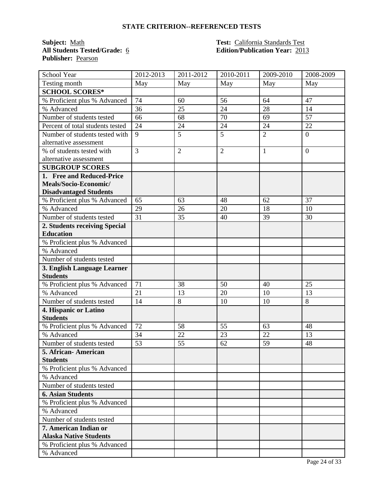**Subject:** <u>Math **Test:** California Standards Test</u><br> **All Students Tested/Grade:** 6 **Test: California Standards Test**<br> **Edition/Publication Year:** 201 **Publisher:** Pearson

# **All Students Tested/Grade:** 6 **Edition/Publication Year:** 2013

| School Year                      | 2012-2013       | 2011-2012      | 2010-2011      | 2009-2010      | 2008-2009      |
|----------------------------------|-----------------|----------------|----------------|----------------|----------------|
| Testing month                    | May             | May            | May            | May            | May            |
| <b>SCHOOL SCORES*</b>            |                 |                |                |                |                |
| % Proficient plus % Advanced     | 74              | 60             | 56             | 64             | 47             |
| % Advanced                       | 36              | 25             | 24             | 28             | 14             |
| Number of students tested        | 66              | 68             | 70             | 69             | 57             |
| Percent of total students tested | 24              | 24             | 24             | 24             | 22             |
| Number of students tested with   | 9               | 5              | 5              | $\overline{2}$ | $\overline{0}$ |
| alternative assessment           |                 |                |                |                |                |
| % of students tested with        | $\overline{3}$  | $\overline{2}$ | $\overline{2}$ | 1              | $\overline{0}$ |
| alternative assessment           |                 |                |                |                |                |
| <b>SUBGROUP SCORES</b>           |                 |                |                |                |                |
| 1. Free and Reduced-Price        |                 |                |                |                |                |
| Meals/Socio-Economic/            |                 |                |                |                |                |
| <b>Disadvantaged Students</b>    |                 |                |                |                |                |
| % Proficient plus % Advanced     | 65              | 63             | 48             | 62             | 37             |
| % Advanced                       | 29              | 26             | 20             | 18             | 10             |
| Number of students tested        | $\overline{31}$ | 35             | 40             | 39             | 30             |
| 2. Students receiving Special    |                 |                |                |                |                |
| <b>Education</b>                 |                 |                |                |                |                |
| % Proficient plus % Advanced     |                 |                |                |                |                |
| % Advanced                       |                 |                |                |                |                |
| Number of students tested        |                 |                |                |                |                |
| 3. English Language Learner      |                 |                |                |                |                |
| <b>Students</b>                  |                 |                |                |                |                |
| % Proficient plus % Advanced     | 71              | 38             | 50             | 40             | 25             |
| % Advanced                       | 21              | 13             | 20             | 10             | 13             |
| Number of students tested        | 14              | 8              | 10             | 10             | 8              |
| 4. Hispanic or Latino            |                 |                |                |                |                |
| <b>Students</b>                  |                 |                |                |                |                |
| % Proficient plus % Advanced     | 72              | 58             | 55             | 63             | 48             |
| % Advanced                       | 34              | 22             | 23             | 22             | 13             |
| Number of students tested        | 53              | 55             | 62             | 59             | 48             |
| 5. African-American              |                 |                |                |                |                |
| <b>Students</b>                  |                 |                |                |                |                |
| % Proficient plus % Advanced     |                 |                |                |                |                |
| % Advanced                       |                 |                |                |                |                |
| Number of students tested        |                 |                |                |                |                |
| <b>6. Asian Students</b>         |                 |                |                |                |                |
| % Proficient plus % Advanced     |                 |                |                |                |                |
| % Advanced                       |                 |                |                |                |                |
| Number of students tested        |                 |                |                |                |                |
| 7. American Indian or            |                 |                |                |                |                |
| <b>Alaska Native Students</b>    |                 |                |                |                |                |
| % Proficient plus % Advanced     |                 |                |                |                |                |
| % Advanced                       |                 |                |                |                |                |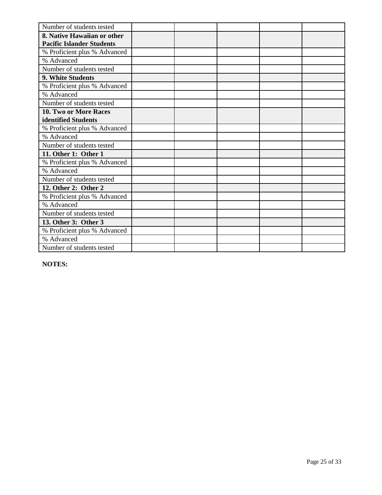| Number of students tested        |  |  |  |
|----------------------------------|--|--|--|
| 8. Native Hawaiian or other      |  |  |  |
| <b>Pacific Islander Students</b> |  |  |  |
| % Proficient plus % Advanced     |  |  |  |
| % Advanced                       |  |  |  |
| Number of students tested        |  |  |  |
| 9. White Students                |  |  |  |
| % Proficient plus % Advanced     |  |  |  |
| % Advanced                       |  |  |  |
| Number of students tested        |  |  |  |
| 10. Two or More Races            |  |  |  |
| identified Students              |  |  |  |
| % Proficient plus % Advanced     |  |  |  |
| % Advanced                       |  |  |  |
| Number of students tested        |  |  |  |
| 11. Other 1: Other 1             |  |  |  |
| % Proficient plus % Advanced     |  |  |  |
| % Advanced                       |  |  |  |
| Number of students tested        |  |  |  |
| 12. Other 2: Other 2             |  |  |  |
| % Proficient plus % Advanced     |  |  |  |
| % Advanced                       |  |  |  |
| Number of students tested        |  |  |  |
| 13. Other 3: Other 3             |  |  |  |
| % Proficient plus % Advanced     |  |  |  |
| % Advanced                       |  |  |  |
| Number of students tested        |  |  |  |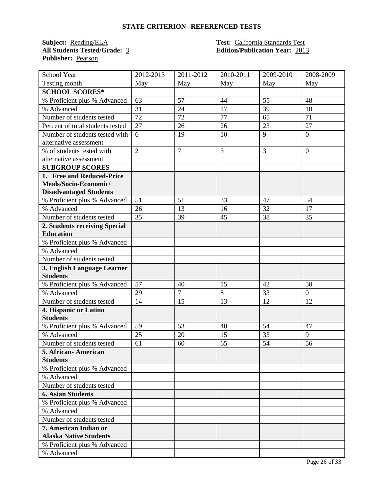**Subject: Reading/ELA Test: California Standards Test**<br>**All Students Tested/Grade:** <u>3</u> **Test: California Standards Test Publisher:** Pearson

# **All Students Tested/Grade:** 3 **Edition/Publication Year:** 2013

| School Year                      | 2012-2013       | 2011-2012      | 2010-2011 | 2009-2010 | 2008-2009      |
|----------------------------------|-----------------|----------------|-----------|-----------|----------------|
| Testing month                    | May             | May            | May       | May       | May            |
| <b>SCHOOL SCORES*</b>            |                 |                |           |           |                |
| % Proficient plus % Advanced     | 63              | 57             | 44        | 55        | 48             |
| % Advanced                       | 31              | 24             | 17        | 39        | 10             |
| Number of students tested        | 72              | 72             | 77        | 65        | 71             |
| Percent of total students tested | 27              | 26             | 26        | 23        | 27             |
| Number of students tested with   | 6               | 19             | 10        | 9         | $\overline{0}$ |
| alternative assessment           |                 |                |           |           |                |
| % of students tested with        | $\overline{2}$  | $\overline{7}$ | 3         | 3         | $\overline{0}$ |
| alternative assessment           |                 |                |           |           |                |
| <b>SUBGROUP SCORES</b>           |                 |                |           |           |                |
| 1. Free and Reduced-Price        |                 |                |           |           |                |
| Meals/Socio-Economic/            |                 |                |           |           |                |
| <b>Disadvantaged Students</b>    |                 |                |           |           |                |
| % Proficient plus % Advanced     | 51              | 51             | 33        | 47        | 54             |
| % Advanced                       | 26              | 13             | 16        | 32        | 17             |
| Number of students tested        | $\overline{35}$ | 39             | 45        | 38        | 35             |
| 2. Students receiving Special    |                 |                |           |           |                |
| <b>Education</b>                 |                 |                |           |           |                |
| % Proficient plus % Advanced     |                 |                |           |           |                |
| % Advanced                       |                 |                |           |           |                |
| Number of students tested        |                 |                |           |           |                |
| 3. English Language Learner      |                 |                |           |           |                |
| <b>Students</b>                  |                 |                |           |           |                |
| % Proficient plus % Advanced     | 57              | 40             | 15        | 42        | 50             |
| % Advanced                       | 29              | $\overline{7}$ | 8         | 33        | $\overline{0}$ |
| Number of students tested        | 14              | 15             | 13        | 12        | 12             |
| 4. Hispanic or Latino            |                 |                |           |           |                |
| <b>Students</b>                  |                 |                |           |           |                |
| % Proficient plus % Advanced     | 59              | 53             | 40        | 54        | 47             |
| % Advanced                       | 25              | 20             | 15        | 33        | 9              |
| Number of students tested        | 61              | 60             | 65        | 54        | 56             |
| 5. African- American             |                 |                |           |           |                |
| <b>Students</b>                  |                 |                |           |           |                |
| % Proficient plus % Advanced     |                 |                |           |           |                |
| % Advanced                       |                 |                |           |           |                |
| Number of students tested        |                 |                |           |           |                |
| <b>6. Asian Students</b>         |                 |                |           |           |                |
| % Proficient plus % Advanced     |                 |                |           |           |                |
| % Advanced                       |                 |                |           |           |                |
| Number of students tested        |                 |                |           |           |                |
| 7. American Indian or            |                 |                |           |           |                |
| <b>Alaska Native Students</b>    |                 |                |           |           |                |
| % Proficient plus % Advanced     |                 |                |           |           |                |
| % Advanced                       |                 |                |           |           |                |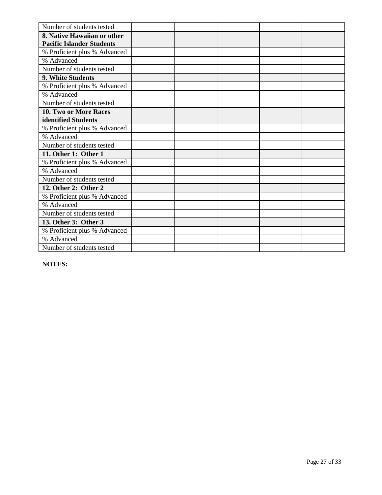| Number of students tested        |  |  |  |
|----------------------------------|--|--|--|
| 8. Native Hawaiian or other      |  |  |  |
| <b>Pacific Islander Students</b> |  |  |  |
| % Proficient plus % Advanced     |  |  |  |
| % Advanced                       |  |  |  |
| Number of students tested        |  |  |  |
| 9. White Students                |  |  |  |
| % Proficient plus % Advanced     |  |  |  |
| % Advanced                       |  |  |  |
| Number of students tested        |  |  |  |
| 10. Two or More Races            |  |  |  |
| identified Students              |  |  |  |
| % Proficient plus % Advanced     |  |  |  |
| % Advanced                       |  |  |  |
| Number of students tested        |  |  |  |
| 11. Other 1: Other 1             |  |  |  |
| % Proficient plus % Advanced     |  |  |  |
| % Advanced                       |  |  |  |
| Number of students tested        |  |  |  |
| 12. Other 2: Other 2             |  |  |  |
| % Proficient plus % Advanced     |  |  |  |
| % Advanced                       |  |  |  |
| Number of students tested        |  |  |  |
| 13. Other 3: Other 3             |  |  |  |
| % Proficient plus % Advanced     |  |  |  |
| % Advanced                       |  |  |  |
| Number of students tested        |  |  |  |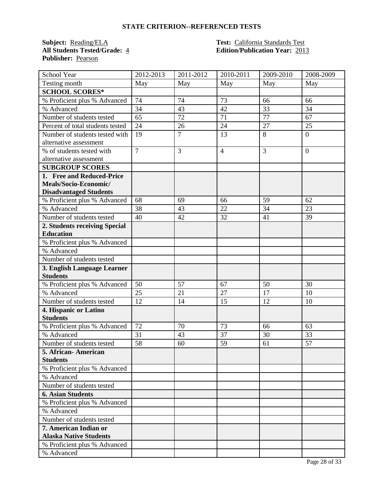**Subject: Reading/ELA Test: California Standards Test**<br>**All Students Tested/Grade:** 4 **Test: California Standards Test Publisher:** Pearson

# **All Students Tested/Grade:** 4 **Edition/Publication Year:** 2013

| School Year                      | 2012-2013      | 2011-2012      | 2010-2011      | 2009-2010      | 2008-2009      |
|----------------------------------|----------------|----------------|----------------|----------------|----------------|
| Testing month                    | May            | May            | May            | May            | May            |
| <b>SCHOOL SCORES*</b>            |                |                |                |                |                |
| % Proficient plus % Advanced     | 74             | 74             | 73             | 66             | 66             |
| % Advanced                       | 34             | 43             | 42             | 33             | 34             |
| Number of students tested        | 65             | 72             | 71             | 77             | 67             |
| Percent of total students tested | 24             | 26             | 24             | 27             | 25             |
| Number of students tested with   | 19             | $\overline{7}$ | 13             | 8              | $\overline{0}$ |
| alternative assessment           |                |                |                |                |                |
| % of students tested with        | $\overline{7}$ | 3              | $\overline{4}$ | $\overline{3}$ | $\overline{0}$ |
| alternative assessment           |                |                |                |                |                |
| <b>SUBGROUP SCORES</b>           |                |                |                |                |                |
| 1. Free and Reduced-Price        |                |                |                |                |                |
| Meals/Socio-Economic/            |                |                |                |                |                |
| <b>Disadvantaged Students</b>    |                |                |                |                |                |
| % Proficient plus % Advanced     | 68             | 69             | 66             | 59             | 62             |
| % Advanced                       | 38             | 43             | 22             | 34             | 23             |
| Number of students tested        | 40             | 42             | 32             | 41             | 39             |
| 2. Students receiving Special    |                |                |                |                |                |
| <b>Education</b>                 |                |                |                |                |                |
| % Proficient plus % Advanced     |                |                |                |                |                |
| % Advanced                       |                |                |                |                |                |
| Number of students tested        |                |                |                |                |                |
| 3. English Language Learner      |                |                |                |                |                |
| <b>Students</b>                  |                |                |                |                |                |
| % Proficient plus % Advanced     | 50             | 57             | 67             | 50             | 30             |
| % Advanced                       | 25             | 21             | 27             | 17             | 10             |
| Number of students tested        | 12             | 14             | 15             | 12             | 10             |
| 4. Hispanic or Latino            |                |                |                |                |                |
| <b>Students</b>                  |                |                |                |                |                |
| % Proficient plus % Advanced     | 72             | 70             | 73             | 66             | 63             |
| % Advanced                       | 31             | 43             | 37             | 30             | 33             |
| Number of students tested        | 58             | 60             | 59             | 61             | 57             |
| 5. African- American             |                |                |                |                |                |
| <b>Students</b>                  |                |                |                |                |                |
| % Proficient plus % Advanced     |                |                |                |                |                |
| % Advanced                       |                |                |                |                |                |
| Number of students tested        |                |                |                |                |                |
| <b>6. Asian Students</b>         |                |                |                |                |                |
| % Proficient plus % Advanced     |                |                |                |                |                |
| % Advanced                       |                |                |                |                |                |
| Number of students tested        |                |                |                |                |                |
| 7. American Indian or            |                |                |                |                |                |
| <b>Alaska Native Students</b>    |                |                |                |                |                |
| % Proficient plus % Advanced     |                |                |                |                |                |
| % Advanced                       |                |                |                |                |                |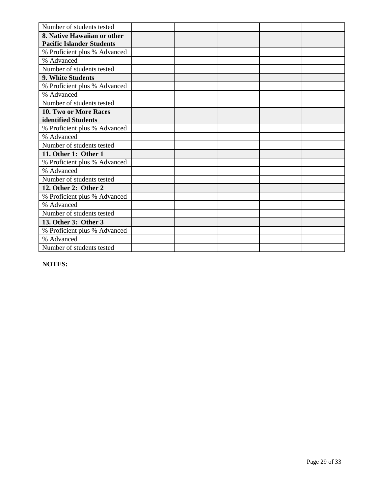| Number of students tested        |  |  |  |
|----------------------------------|--|--|--|
| 8. Native Hawaiian or other      |  |  |  |
| <b>Pacific Islander Students</b> |  |  |  |
| % Proficient plus % Advanced     |  |  |  |
| % Advanced                       |  |  |  |
| Number of students tested        |  |  |  |
| 9. White Students                |  |  |  |
| % Proficient plus % Advanced     |  |  |  |
| % Advanced                       |  |  |  |
| Number of students tested        |  |  |  |
| 10. Two or More Races            |  |  |  |
| identified Students              |  |  |  |
| % Proficient plus % Advanced     |  |  |  |
| % Advanced                       |  |  |  |
| Number of students tested        |  |  |  |
| 11. Other 1: Other 1             |  |  |  |
| % Proficient plus % Advanced     |  |  |  |
| % Advanced                       |  |  |  |
| Number of students tested        |  |  |  |
| 12. Other 2: Other 2             |  |  |  |
| % Proficient plus % Advanced     |  |  |  |
| % Advanced                       |  |  |  |
| Number of students tested        |  |  |  |
| 13. Other 3: Other 3             |  |  |  |
| % Proficient plus % Advanced     |  |  |  |
| % Advanced                       |  |  |  |
| Number of students tested        |  |  |  |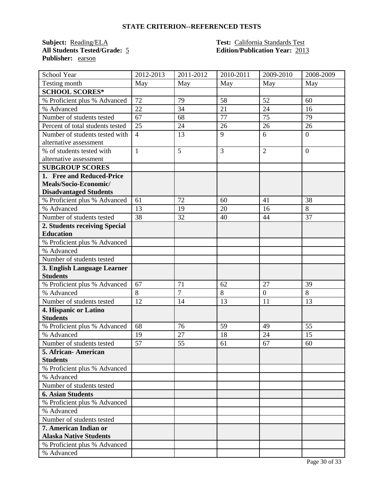**Subject: Reading/ELA Test: California Standards Test**<br>**All Students Tested/Grade:** 5 **Edition/Publication Year:** 201 **Publisher:** earson

# **All Students Tested/Grade:** 5 **Edition/Publication Year:** 2013

| School Year                      | 2012-2013      | $\overline{20}11 - 2012$ | 2010-2011 | 2009-2010        | 2008-2009      |
|----------------------------------|----------------|--------------------------|-----------|------------------|----------------|
| Testing month                    | May            | May                      | May       | May              | May            |
| <b>SCHOOL SCORES*</b>            |                |                          |           |                  |                |
| % Proficient plus % Advanced     | 72             | 79                       | 58        | 52               | 60             |
| % Advanced                       | 22             | 34                       | 21        | 24               | 16             |
| Number of students tested        | 67             | 68                       | 77        | 75               | 79             |
| Percent of total students tested | 25             | 24                       | 26        | 26               | 26             |
| Number of students tested with   | $\overline{4}$ | 13                       | 9         | 6                | $\overline{0}$ |
| alternative assessment           |                |                          |           |                  |                |
| % of students tested with        | $\mathbf{1}$   | 5                        | 3         | $\overline{2}$   | $\theta$       |
| alternative assessment           |                |                          |           |                  |                |
| <b>SUBGROUP SCORES</b>           |                |                          |           |                  |                |
| 1. Free and Reduced-Price        |                |                          |           |                  |                |
| Meals/Socio-Economic/            |                |                          |           |                  |                |
| <b>Disadvantaged Students</b>    |                |                          |           |                  |                |
| % Proficient plus % Advanced     | 61             | 72                       | 60        | 41               | 38             |
| % Advanced                       | 13             | 19                       | 20        | 16               | 8              |
| Number of students tested        | 38             | 32                       | 40        | 44               | 37             |
| 2. Students receiving Special    |                |                          |           |                  |                |
| <b>Education</b>                 |                |                          |           |                  |                |
| % Proficient plus % Advanced     |                |                          |           |                  |                |
| % Advanced                       |                |                          |           |                  |                |
| Number of students tested        |                |                          |           |                  |                |
| 3. English Language Learner      |                |                          |           |                  |                |
| <b>Students</b>                  |                |                          |           |                  |                |
| % Proficient plus % Advanced     | 67             | 71                       | 62        | 27               | 39             |
| % Advanced                       | 8              | $\overline{7}$           | 8         | $\boldsymbol{0}$ | 8              |
| Number of students tested        | 12             | 14                       | 13        | 11               | 13             |
| 4. Hispanic or Latino            |                |                          |           |                  |                |
| <b>Students</b>                  |                |                          |           |                  |                |
| % Proficient plus % Advanced     | 68             | 76                       | 59        | 49               | 55             |
| % Advanced                       | 19             | 27                       | 18        | 24               | 15             |
| Number of students tested        | 57             | 55                       | 61        | 67               | 60             |
| 5. African- American             |                |                          |           |                  |                |
| <b>Students</b>                  |                |                          |           |                  |                |
| % Proficient plus % Advanced     |                |                          |           |                  |                |
| % Advanced                       |                |                          |           |                  |                |
| Number of students tested        |                |                          |           |                  |                |
| <b>6. Asian Students</b>         |                |                          |           |                  |                |
| % Proficient plus % Advanced     |                |                          |           |                  |                |
| % Advanced                       |                |                          |           |                  |                |
| Number of students tested        |                |                          |           |                  |                |
| 7. American Indian or            |                |                          |           |                  |                |
| <b>Alaska Native Students</b>    |                |                          |           |                  |                |
| % Proficient plus % Advanced     |                |                          |           |                  |                |
| % Advanced                       |                |                          |           |                  |                |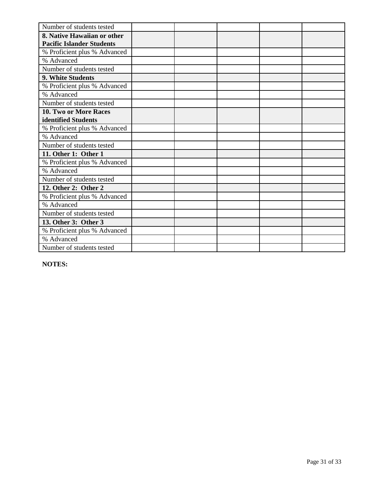| Number of students tested        |  |  |  |
|----------------------------------|--|--|--|
| 8. Native Hawaiian or other      |  |  |  |
| <b>Pacific Islander Students</b> |  |  |  |
| % Proficient plus % Advanced     |  |  |  |
| % Advanced                       |  |  |  |
| Number of students tested        |  |  |  |
| 9. White Students                |  |  |  |
| % Proficient plus % Advanced     |  |  |  |
| % Advanced                       |  |  |  |
| Number of students tested        |  |  |  |
| 10. Two or More Races            |  |  |  |
| identified Students              |  |  |  |
| % Proficient plus % Advanced     |  |  |  |
| % Advanced                       |  |  |  |
| Number of students tested        |  |  |  |
| 11. Other 1: Other 1             |  |  |  |
| % Proficient plus % Advanced     |  |  |  |
| % Advanced                       |  |  |  |
| Number of students tested        |  |  |  |
| 12. Other 2: Other 2             |  |  |  |
| % Proficient plus % Advanced     |  |  |  |
| % Advanced                       |  |  |  |
| Number of students tested        |  |  |  |
| 13. Other 3: Other 3             |  |  |  |
| % Proficient plus % Advanced     |  |  |  |
| % Advanced                       |  |  |  |
| Number of students tested        |  |  |  |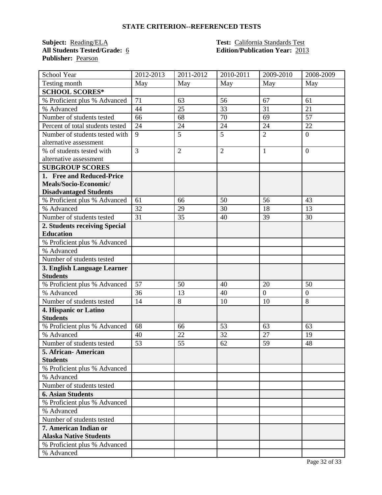**Subject: Reading/ELA Test: California Standards Test**<br>**All Students Tested/Grade:** <u>6</u> **Test: California Standards Test**<br>**Relation/Publication Year:** 201 **Publisher:** Pearson

# **All Students Tested/Grade:** 6 **Edition/Publication Year:** 2013

| School Year                      | 2012-2013       | 2011-2012      | 2010-2011      | 2009-2010      | 2008-2009      |
|----------------------------------|-----------------|----------------|----------------|----------------|----------------|
| Testing month                    | May             | May            | May            | May            | May            |
| <b>SCHOOL SCORES*</b>            |                 |                |                |                |                |
| % Proficient plus % Advanced     | 71              | 63             | 56             | 67             | 61             |
| % Advanced                       | 44              | 25             | 33             | 31             | 21             |
| Number of students tested        | 66              | 68             | 70             | 69             | 57             |
| Percent of total students tested | 24              | 24             | 24             | 24             | 22             |
| Number of students tested with   | 9               | 5              | 5              | $\overline{2}$ | $\overline{0}$ |
| alternative assessment           |                 |                |                |                |                |
| % of students tested with        | $\overline{3}$  | $\overline{2}$ | $\overline{2}$ | 1              | $\overline{0}$ |
| alternative assessment           |                 |                |                |                |                |
| <b>SUBGROUP SCORES</b>           |                 |                |                |                |                |
| 1. Free and Reduced-Price        |                 |                |                |                |                |
| Meals/Socio-Economic/            |                 |                |                |                |                |
| <b>Disadvantaged Students</b>    |                 |                |                |                |                |
| % Proficient plus % Advanced     | 61              | 66             | 50             | 56             | 43             |
| % Advanced                       | 32              | 29             | 30             | 18             | 13             |
| Number of students tested        | $\overline{31}$ | 35             | 40             | 39             | 30             |
| 2. Students receiving Special    |                 |                |                |                |                |
| <b>Education</b>                 |                 |                |                |                |                |
| % Proficient plus % Advanced     |                 |                |                |                |                |
| % Advanced                       |                 |                |                |                |                |
| Number of students tested        |                 |                |                |                |                |
| 3. English Language Learner      |                 |                |                |                |                |
| <b>Students</b>                  |                 |                |                |                |                |
| % Proficient plus % Advanced     | 57              | 50             | 40             | 20             | 50             |
| % Advanced                       | 36              | 13             | 40             | $\overline{0}$ | $\overline{0}$ |
| Number of students tested        | 14              | 8              | 10             | 10             | 8              |
| 4. Hispanic or Latino            |                 |                |                |                |                |
| <b>Students</b>                  |                 |                |                |                |                |
| % Proficient plus % Advanced     | 68              | 66             | 53             | 63             | 63             |
| % Advanced                       | 40              | 22             | 32             | 27             | 19             |
| Number of students tested        | 53              | 55             | 62             | 59             | 48             |
| 5. African-American              |                 |                |                |                |                |
| <b>Students</b>                  |                 |                |                |                |                |
| % Proficient plus % Advanced     |                 |                |                |                |                |
| % Advanced                       |                 |                |                |                |                |
| Number of students tested        |                 |                |                |                |                |
| <b>6. Asian Students</b>         |                 |                |                |                |                |
| % Proficient plus % Advanced     |                 |                |                |                |                |
| % Advanced                       |                 |                |                |                |                |
| Number of students tested        |                 |                |                |                |                |
| 7. American Indian or            |                 |                |                |                |                |
| <b>Alaska Native Students</b>    |                 |                |                |                |                |
| % Proficient plus % Advanced     |                 |                |                |                |                |
| % Advanced                       |                 |                |                |                |                |